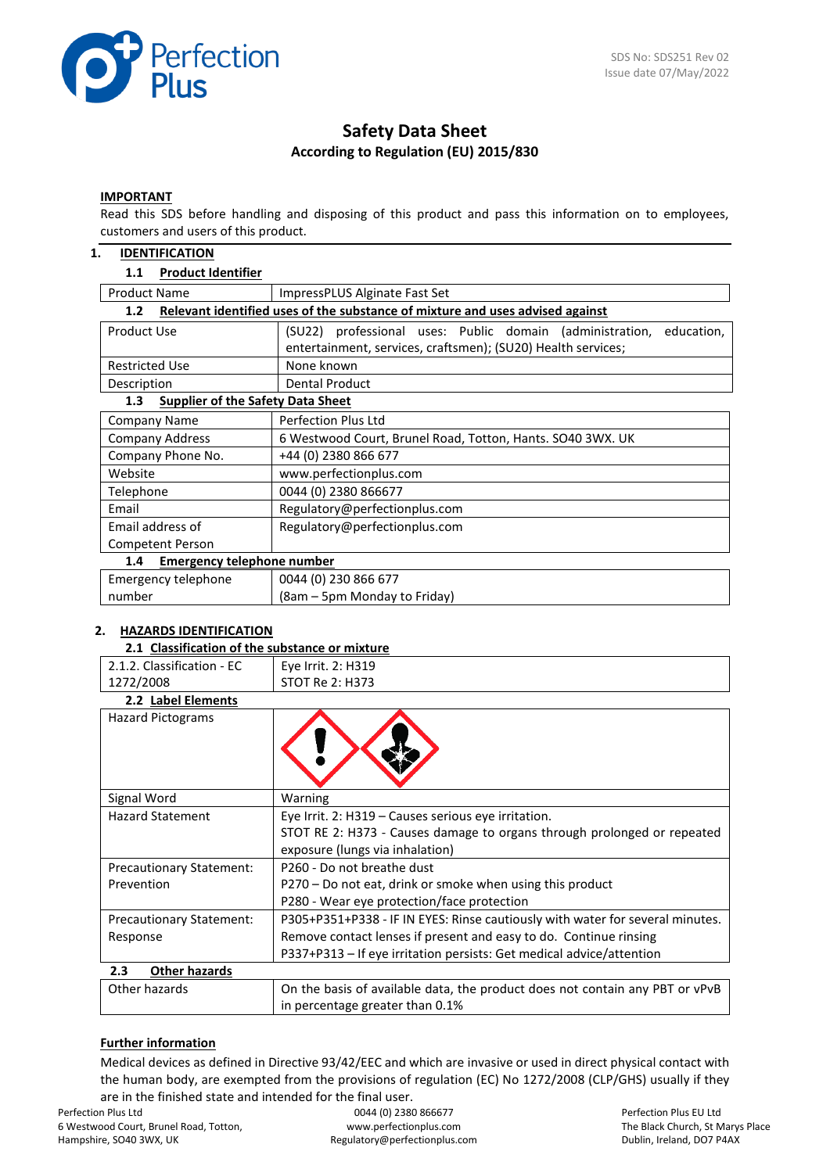

# **Safety Data Sheet According to Regulation (EU) 2015/830**

#### **IMPORTANT**

Read this SDS before handling and disposing of this product and pass this information on to employees, customers and users of this product.

#### **1. IDENTIFICATION**

#### **1.1 Product Identifier**

| <b>Product Name</b><br>ImpressPLUS Alginate Fast Set                                              |                                                                                                                                        |  |  |  |  |  |  |  |
|---------------------------------------------------------------------------------------------------|----------------------------------------------------------------------------------------------------------------------------------------|--|--|--|--|--|--|--|
| Relevant identified uses of the substance of mixture and uses advised against<br>1.2 <sub>2</sub> |                                                                                                                                        |  |  |  |  |  |  |  |
| Product Use                                                                                       | (SU22) professional uses: Public domain (administration,<br>education,<br>entertainment, services, craftsmen); (SU20) Health services; |  |  |  |  |  |  |  |
| <b>Restricted Use</b>                                                                             | None known                                                                                                                             |  |  |  |  |  |  |  |
| Description                                                                                       | <b>Dental Product</b>                                                                                                                  |  |  |  |  |  |  |  |
| <b>Supplier of the Safety Data Sheet</b><br>1.3                                                   |                                                                                                                                        |  |  |  |  |  |  |  |
| Company Name                                                                                      | <b>Perfection Plus Ltd</b>                                                                                                             |  |  |  |  |  |  |  |
| <b>Company Address</b>                                                                            | 6 Westwood Court, Brunel Road, Totton, Hants. SO40 3WX. UK                                                                             |  |  |  |  |  |  |  |
| Company Phone No.                                                                                 | +44 (0) 2380 866 677                                                                                                                   |  |  |  |  |  |  |  |
| Website                                                                                           | www.perfectionplus.com                                                                                                                 |  |  |  |  |  |  |  |
| Telephone                                                                                         | 0044 (0) 2380 866677                                                                                                                   |  |  |  |  |  |  |  |
| Email                                                                                             | Regulatory@perfectionplus.com                                                                                                          |  |  |  |  |  |  |  |
| Email address of                                                                                  | Regulatory@perfectionplus.com                                                                                                          |  |  |  |  |  |  |  |
| Competent Person                                                                                  |                                                                                                                                        |  |  |  |  |  |  |  |
| Emergency telephone number<br>1.4                                                                 |                                                                                                                                        |  |  |  |  |  |  |  |
| Emergency telephone                                                                               | 0044 (0) 230 866 677                                                                                                                   |  |  |  |  |  |  |  |
| number                                                                                            | (8am – 5pm Monday to Friday)                                                                                                           |  |  |  |  |  |  |  |

# **2. HAZARDS IDENTIFICATION**

#### **2.1 Classification of the substance or mixture** 2.1.2. Classification - EC 1272/2008 Eye Irrit. 2: H319 STOT Re 2: H373 **2.2 Label Elements** Hazard Pictograms Signal Word Warning Hazard Statement Eye Irrit. 2: H319 – Causes serious eye irritation. STOT RE 2: H373 - Causes damage to organs through prolonged or repeated exposure (lungs via inhalation) Precautionary Statement: Prevention P260 - Do not breathe dust P270 – Do not eat, drink or smoke when using this product P280 - Wear eye protection/face protection Precautionary Statement: Response P305+P351+P338 - IF IN EYES: Rinse cautiously with water for several minutes. Remove contact lenses if present and easy to do. Continue rinsing P337+P313 – If eye irritation persists: Get medical advice/attention **2.3 Other hazards** Other hazards **On the basis of available data, the product does not contain any PBT or vPvB** in percentage greater than 0.1%

#### **Further information**

Medical devices as defined in Directive 93/42/EEC and which are invasive or used in direct physical contact with the human body, are exempted from the provisions of regulation (EC) No 1272/2008 (CLP/GHS) usually if they are in the finished state and intended for the final user.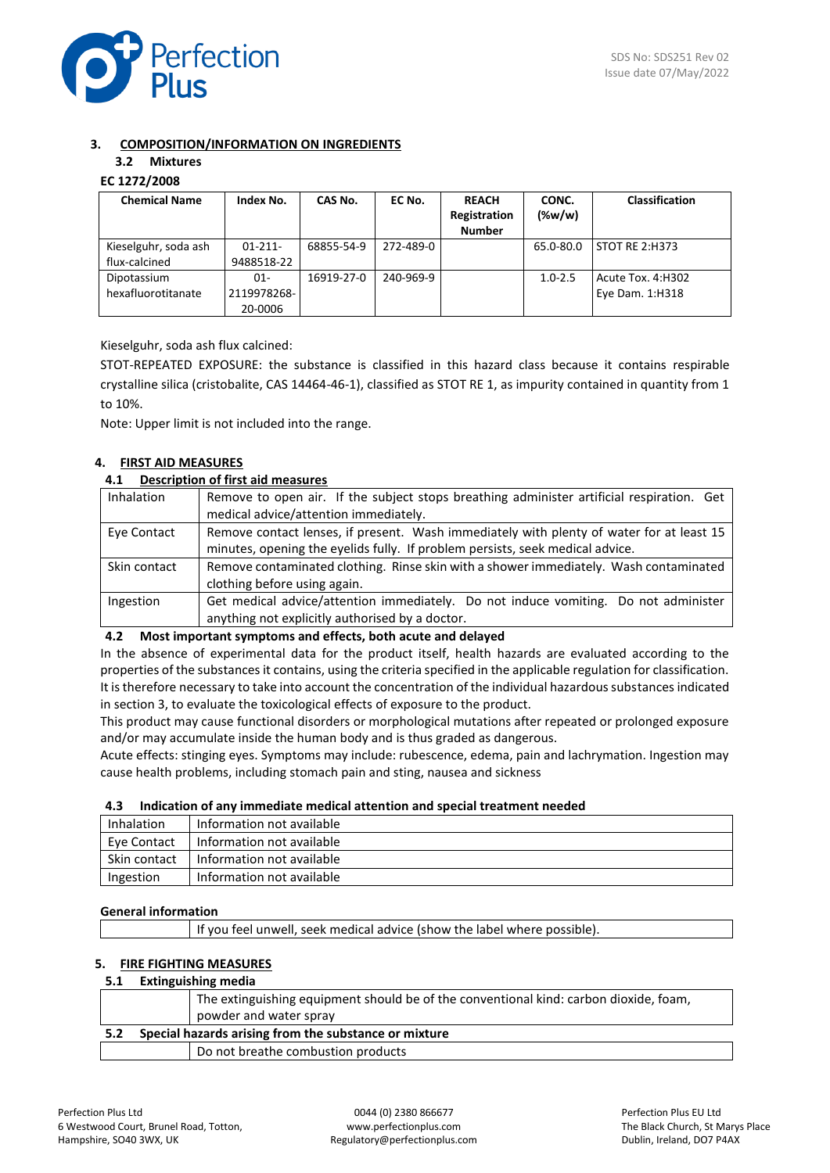

# **3. COMPOSITION/INFORMATION ON INGREDIENTS**

# **3.2 Mixtures**

# **EC 1272/2008**

| <b>Chemical Name</b> | Index No.   | CAS No.    | EC No.    | <b>REACH</b>  | CONC.       | <b>Classification</b> |
|----------------------|-------------|------------|-----------|---------------|-------------|-----------------------|
|                      |             |            |           | Registration  | $(\%w/w)$   |                       |
|                      |             |            |           | <b>Number</b> |             |                       |
| Kieselguhr, soda ash | $01-211-$   | 68855-54-9 | 272-489-0 |               | 65.0-80.0   | STOT RE 2:H373        |
| flux-calcined        | 9488518-22  |            |           |               |             |                       |
| Dipotassium          | 01-         | 16919-27-0 | 240-969-9 |               | $1.0 - 2.5$ | Acute Tox. 4:H302     |
| hexafluorotitanate   | 2119978268- |            |           |               |             | Eye Dam. 1:H318       |
|                      | 20-0006     |            |           |               |             |                       |

Kieselguhr, soda ash flux calcined:

STOT-REPEATED EXPOSURE: the substance is classified in this hazard class because it contains respirable crystalline silica (cristobalite, CAS 14464-46-1), classified as STOT RE 1, as impurity contained in quantity from 1 to 10%.

Note: Upper limit is not included into the range.

# **4. FIRST AID MEASURES**

#### **4.1 Description of first aid measures**

| Inhalation   | Remove to open air. If the subject stops breathing administer artificial respiration. Get<br>medical advice/attention immediately.                                        |
|--------------|---------------------------------------------------------------------------------------------------------------------------------------------------------------------------|
| Eye Contact  | Remove contact lenses, if present. Wash immediately with plenty of water for at least 15<br>minutes, opening the eyelids fully. If problem persists, seek medical advice. |
| Skin contact | Remove contaminated clothing. Rinse skin with a shower immediately. Wash contaminated<br>clothing before using again.                                                     |
| Ingestion    | Get medical advice/attention immediately. Do not induce vomiting. Do not administer<br>anything not explicitly authorised by a doctor.                                    |

#### **4.2 Most important symptoms and effects, both acute and delayed**

In the absence of experimental data for the product itself, health hazards are evaluated according to the properties of the substances it contains, using the criteria specified in the applicable regulation for classification. It is therefore necessary to take into account the concentration of the individual hazardous substances indicated in section 3, to evaluate the toxicological effects of exposure to the product.

This product may cause functional disorders or morphological mutations after repeated or prolonged exposure and/or may accumulate inside the human body and is thus graded as dangerous.

Acute effects: stinging eyes. Symptoms may include: rubescence, edema, pain and lachrymation. Ingestion may cause health problems, including stomach pain and sting, nausea and sickness

#### **4.3 Indication of any immediate medical attention and special treatment needed**

| Inhalation   | Information not available |
|--------------|---------------------------|
| Eve Contact  | Information not available |
| Skin contact | Information not available |
| Ingestion    | Information not available |

#### **General information**

# **5. FIRE FIGHTING MEASURES**

#### **5.1 Extinguishing media**

|     | The extinguishing equipment should be of the conventional kind: carbon dioxide, foam, |
|-----|---------------------------------------------------------------------------------------|
|     | powder and water spray                                                                |
|     |                                                                                       |
| 5.2 | Special hazards arising from the substance or mixture                                 |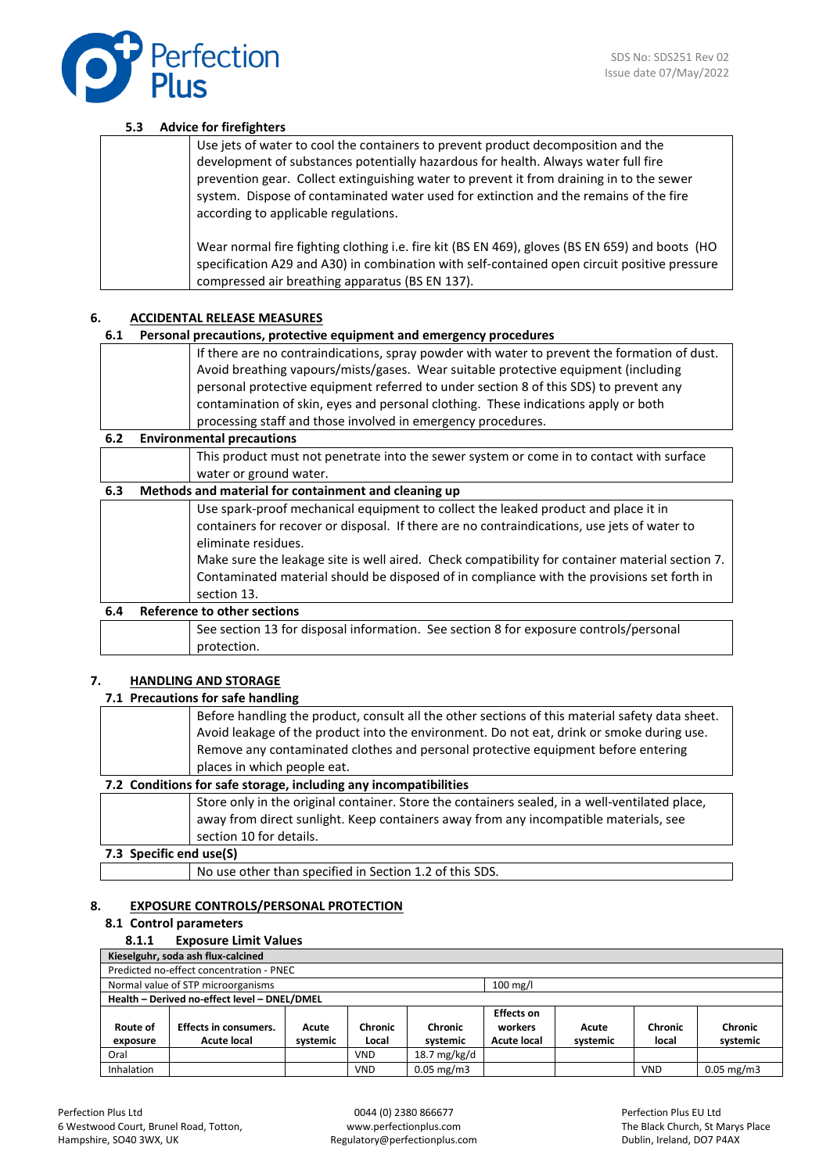

#### **5.3 Advice for firefighters**

| Use jets of water to cool the containers to prevent product decomposition and the<br>development of substances potentially hazardous for health. Always water full fire<br>prevention gear. Collect extinguishing water to prevent it from draining in to the sewer<br>system. Dispose of contaminated water used for extinction and the remains of the fire<br>according to applicable regulations. |
|------------------------------------------------------------------------------------------------------------------------------------------------------------------------------------------------------------------------------------------------------------------------------------------------------------------------------------------------------------------------------------------------------|
| Wear normal fire fighting clothing i.e. fire kit (BS EN 469), gloves (BS EN 659) and boots (HO<br>specification A29 and A30) in combination with self-contained open circuit positive pressure<br>compressed air breathing apparatus (BS EN 137).                                                                                                                                                    |

# **6. ACCIDENTAL RELEASE MEASURES**

# **6.1 Personal precautions, protective equipment and emergency procedures**

|     | 0.1 Fersonal precaduons, protective equipment and emergency procedures                                                                                                             |
|-----|------------------------------------------------------------------------------------------------------------------------------------------------------------------------------------|
|     | If there are no contraindications, spray powder with water to prevent the formation of dust.<br>Avoid breathing vapours/mists/gases. Wear suitable protective equipment (including |
|     | personal protective equipment referred to under section 8 of this SDS) to prevent any                                                                                              |
|     | contamination of skin, eyes and personal clothing. These indications apply or both                                                                                                 |
|     | processing staff and those involved in emergency procedures.                                                                                                                       |
| 6.2 | <b>Environmental precautions</b>                                                                                                                                                   |

This product must not penetrate into the sewer system or come in to contact with surface water or ground water.

| 6.3 |                             | Methods and material for containment and cleaning up                                                                                                                                                                                                                                                                                                                                                                     |  |  |  |  |  |
|-----|-----------------------------|--------------------------------------------------------------------------------------------------------------------------------------------------------------------------------------------------------------------------------------------------------------------------------------------------------------------------------------------------------------------------------------------------------------------------|--|--|--|--|--|
|     |                             | Use spark-proof mechanical equipment to collect the leaked product and place it in<br>containers for recover or disposal. If there are no contraindications, use jets of water to<br>eliminate residues.<br>Make sure the leakage site is well aired. Check compatibility for container material section 7.<br>Contaminated material should be disposed of in compliance with the provisions set forth in<br>section 13. |  |  |  |  |  |
| 6.4 | Reference to other sections |                                                                                                                                                                                                                                                                                                                                                                                                                          |  |  |  |  |  |
|     |                             | See section 13 for disposal information. See section 8 for exposure controls/personal                                                                                                                                                                                                                                                                                                                                    |  |  |  |  |  |

# **7. HANDLING AND STORAGE**

# **7.1 Precautions for safe handling**

protection.

|                         | Before handling the product, consult all the other sections of this material safety data sheet. |
|-------------------------|-------------------------------------------------------------------------------------------------|
|                         | Avoid leakage of the product into the environment. Do not eat, drink or smoke during use.       |
|                         | Remove any contaminated clothes and personal protective equipment before entering               |
|                         | places in which people eat.                                                                     |
|                         | 7.2 Conditions for safe storage, including any incompatibilities                                |
|                         | Store only in the original container. Store the containers sealed, in a well-ventilated place,  |
|                         | away from direct sunlight. Keep containers away from any incompatible materials, see            |
|                         | section 10 for details.                                                                         |
| 7.3 Specific end use(S) |                                                                                                 |

#### **7.3 Specific end use(S)**

No use other than specified in Section 1.2 of this SDS.

### **8. EXPOSURE CONTROLS/PERSONAL PROTECTION**

#### **8.1 Control parameters**

#### **8.1.1 Exposure Limit Values**

| Kieselguhr, soda ash flux-calcined                                              |                                                                                                            |       |            |              |                   |       |         |         |  |  |
|---------------------------------------------------------------------------------|------------------------------------------------------------------------------------------------------------|-------|------------|--------------|-------------------|-------|---------|---------|--|--|
| Predicted no-effect concentration - PNEC                                        |                                                                                                            |       |            |              |                   |       |         |         |  |  |
|                                                                                 | Normal value of STP microorganisms<br>$100 \text{ mg/l}$                                                   |       |            |              |                   |       |         |         |  |  |
|                                                                                 | Health - Derived no-effect level - DNEL/DMEL                                                               |       |            |              |                   |       |         |         |  |  |
|                                                                                 |                                                                                                            |       |            |              | <b>Effects on</b> |       |         |         |  |  |
| Route of                                                                        | <b>Effects in consumers.</b>                                                                               | Acute | Chronic    | Chronic      | workers           | Acute | Chronic | Chronic |  |  |
| exposure                                                                        | <b>Acute local</b><br>local<br><b>Acute local</b><br>systemic<br>systemic<br>systemic<br>Local<br>systemic |       |            |              |                   |       |         |         |  |  |
| Oral                                                                            |                                                                                                            |       | <b>VND</b> | 18.7 mg/kg/d |                   |       |         |         |  |  |
| Inhalation<br>$0.05$ mg/m3<br>$0.05 \text{ mg/m}$ 3<br><b>VND</b><br><b>VND</b> |                                                                                                            |       |            |              |                   |       |         |         |  |  |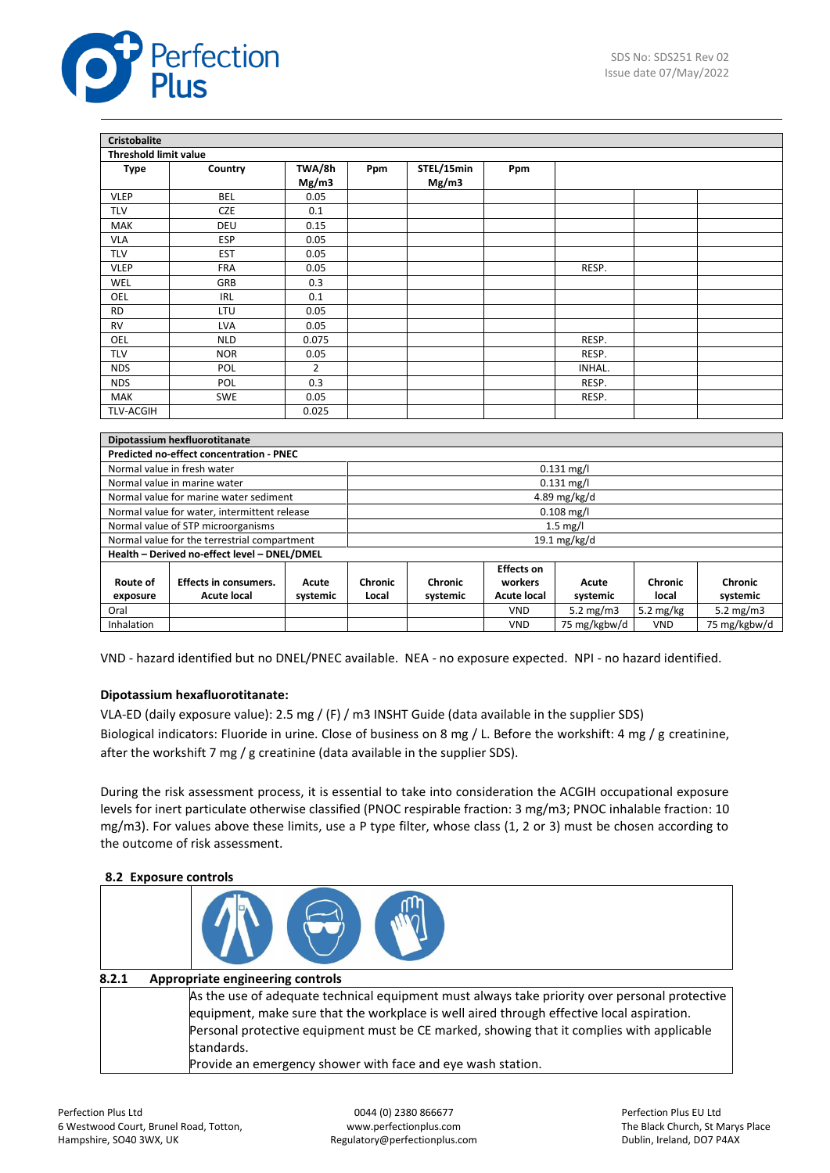

| <b>Cristobalite</b>          |                                                              |                 |              |                     |                   |              |  |  |
|------------------------------|--------------------------------------------------------------|-----------------|--------------|---------------------|-------------------|--------------|--|--|
| <b>Threshold limit value</b> |                                                              |                 |              |                     |                   |              |  |  |
| <b>Type</b>                  | Country                                                      | TWA/8h<br>Mg/m3 | Ppm          | STEL/15min<br>Mg/m3 | Ppm               |              |  |  |
| <b>VLEP</b>                  | <b>BEL</b>                                                   | 0.05            |              |                     |                   |              |  |  |
| <b>TLV</b>                   | CZE                                                          | 0.1             |              |                     |                   |              |  |  |
| <b>MAK</b>                   | DEU                                                          | 0.15            |              |                     |                   |              |  |  |
| <b>VLA</b>                   | <b>ESP</b>                                                   | 0.05            |              |                     |                   |              |  |  |
| <b>TLV</b>                   | <b>EST</b>                                                   | 0.05            |              |                     |                   |              |  |  |
| <b>VLEP</b>                  | <b>FRA</b>                                                   | 0.05            |              |                     |                   | RESP.        |  |  |
| <b>WEL</b>                   | GRB                                                          | 0.3             |              |                     |                   |              |  |  |
| OEL                          | <b>IRL</b>                                                   | 0.1             |              |                     |                   |              |  |  |
| <b>RD</b>                    | LTU                                                          | 0.05            |              |                     |                   |              |  |  |
| <b>RV</b>                    | <b>LVA</b>                                                   | 0.05            |              |                     |                   |              |  |  |
| OEL                          | <b>NLD</b>                                                   | 0.075           |              |                     |                   | RESP.        |  |  |
| <b>TLV</b>                   | <b>NOR</b>                                                   | 0.05            |              |                     |                   | RESP.        |  |  |
| <b>NDS</b>                   | POL                                                          | $\overline{2}$  |              |                     |                   | INHAL.       |  |  |
| <b>NDS</b>                   | POL                                                          | 0.3             |              |                     |                   | RESP.        |  |  |
| <b>MAK</b>                   | <b>SWE</b>                                                   | 0.05            |              |                     |                   | RESP.        |  |  |
| <b>TLV-ACGIH</b>             |                                                              | 0.025           |              |                     |                   |              |  |  |
|                              |                                                              |                 |              |                     |                   |              |  |  |
|                              | Dipotassium hexfluorotitanate                                |                 |              |                     |                   |              |  |  |
|                              | Predicted no-effect concentration - PNEC                     |                 |              |                     |                   |              |  |  |
|                              | Normal value in fresh water                                  |                 | $0.131$ mg/l |                     |                   |              |  |  |
|                              | Normal value in marine water                                 |                 | $0.131$ mg/l |                     |                   |              |  |  |
|                              | Normal value for marine water sediment                       |                 | 4.89 mg/kg/d |                     |                   |              |  |  |
|                              | Normal value for water, intermittent release                 |                 |              |                     |                   | $0.108$ mg/l |  |  |
|                              | Normal value of STP microorganisms<br>$1.5$ mg/l             |                 |              |                     |                   |              |  |  |
|                              | Normal value for the terrestrial compartment<br>19.1 mg/kg/d |                 |              |                     |                   |              |  |  |
|                              | Health - Derived no-effect level - DNEL/DMEL                 |                 |              |                     |                   |              |  |  |
|                              |                                                              |                 |              |                     | <b>Effects on</b> |              |  |  |

| Route of<br>exposure | <b>Effects in consumers.</b><br>Acute local | Acute<br>svstemic | Chronic<br>Local | Chronic<br>systemic | workers<br><b>Acute local</b> | Acute<br>systemic | Chronic<br>local | Chronic<br>systemic |
|----------------------|---------------------------------------------|-------------------|------------------|---------------------|-------------------------------|-------------------|------------------|---------------------|
| Oral                 |                                             |                   |                  |                     | VND                           | 5.2 $mg/m3$       | 5.2 mg/kg        | 5.2 $mg/m3$         |
| Inhalation           |                                             |                   |                  |                     | VND                           | 75 mg/kgbw/d      | VND              | 75 mg/kgbw/d        |

VND - hazard identified but no DNEL/PNEC available. NEA - no exposure expected. NPI - no hazard identified.

# **Dipotassium hexafluorotitanate:**

VLA-ED (daily exposure value): 2.5 mg / (F) / m3 INSHT Guide (data available in the supplier SDS) Biological indicators: Fluoride in urine. Close of business on 8 mg / L. Before the workshift: 4 mg / g creatinine, after the workshift 7 mg / g creatinine (data available in the supplier SDS).

During the risk assessment process, it is essential to take into consideration the ACGIH occupational exposure levels for inert particulate otherwise classified (PNOC respirable fraction: 3 mg/m3; PNOC inhalable fraction: 10 mg/m3). For values above these limits, use a P type filter, whose class (1, 2 or 3) must be chosen according to the outcome of risk assessment.

#### **8.2 Exposure controls**

| 8.2.1 | Appropriate engineering controls                                                                                                                                                                                                                                                                                                                                     |
|-------|----------------------------------------------------------------------------------------------------------------------------------------------------------------------------------------------------------------------------------------------------------------------------------------------------------------------------------------------------------------------|
|       | As the use of adequate technical equipment must always take priority over personal protective<br>equipment, make sure that the workplace is well aired through effective local aspiration.<br>Personal protective equipment must be CE marked, showing that it complies with applicable<br>standards.<br>Provide an emergency shower with face and eye wash station. |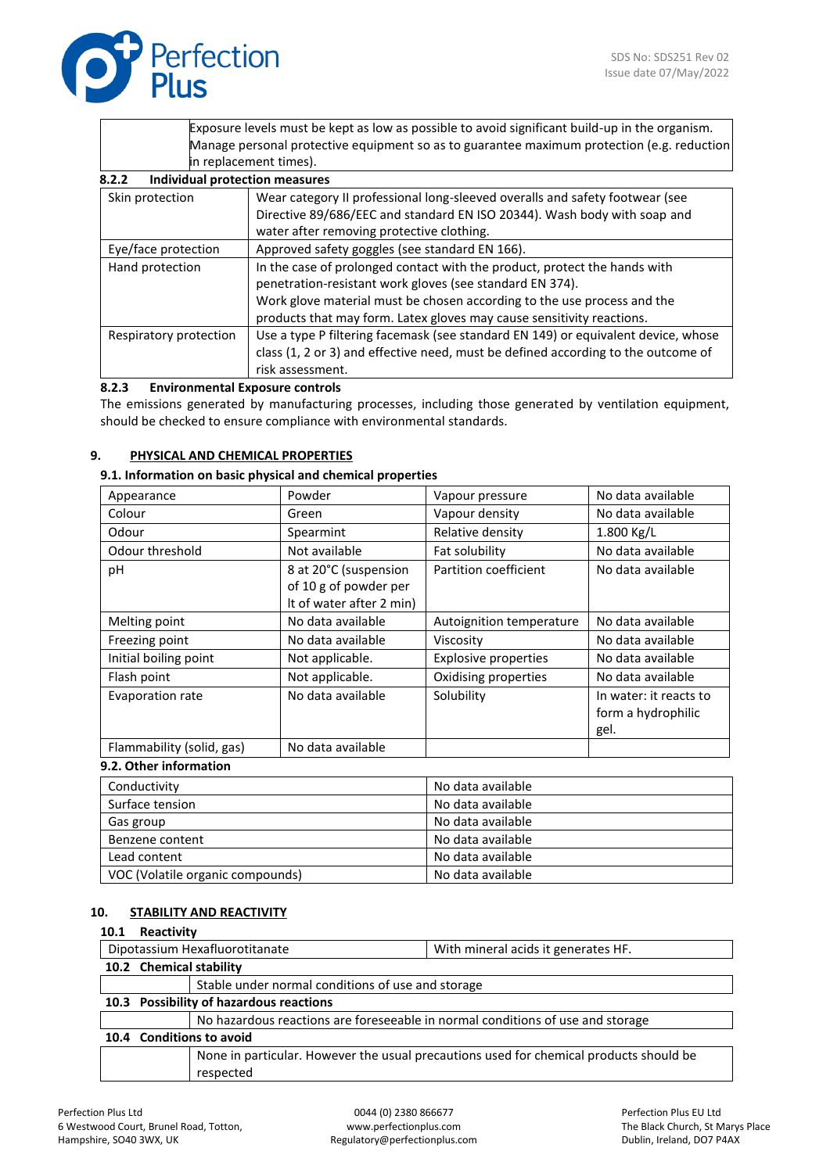

|                                                 | Exposure levels must be kept as low as possible to avoid significant build-up in the organism. |
|-------------------------------------------------|------------------------------------------------------------------------------------------------|
|                                                 | Manage personal protective equipment so as to guarantee maximum protection (e.g. reduction     |
|                                                 | in replacement times).                                                                         |
| <b>Individual protection measures</b><br>8.2.2  |                                                                                                |
| Skin protection                                 | Wear category II professional long-sleeved overalls and safety footwear (see                   |
|                                                 | Directive 89/686/EEC and standard EN ISO 20344). Wash body with soap and                       |
|                                                 | water after removing protective clothing.                                                      |
| Eye/face protection                             | Approved safety goggles (see standard EN 166).                                                 |
| Hand protection                                 | In the case of prolonged contact with the product, protect the hands with                      |
|                                                 | penetration-resistant work gloves (see standard EN 374).                                       |
|                                                 | Work glove material must be chosen according to the use process and the                        |
|                                                 | products that may form. Latex gloves may cause sensitivity reactions.                          |
| Respiratory protection                          | Use a type P filtering facemask (see standard EN 149) or equivalent device, whose              |
|                                                 | class (1, 2 or 3) and effective need, must be defined according to the outcome of              |
|                                                 | risk assessment.                                                                               |
| 8.2.3<br><b>Environmental Exnosure controls</b> |                                                                                                |

# **8.2.3 Environmental Exposure controls**

The emissions generated by manufacturing processes, including those generated by ventilation equipment, should be checked to ensure compliance with environmental standards.

# **9. PHYSICAL AND CHEMICAL PROPERTIES**

### **9.1. Information on basic physical and chemical properties**

| Appearance                | Powder                   | Vapour pressure          | No data available      |
|---------------------------|--------------------------|--------------------------|------------------------|
| Colour<br>Green           |                          | Vapour density           | No data available      |
| Odour                     | Spearmint                | Relative density         | $1.800$ Kg/L           |
| Odour threshold           | Not available            | Fat solubility           | No data available      |
| рH                        | 8 at 20°C (suspension    | Partition coefficient    | No data available      |
|                           | of 10 g of powder per    |                          |                        |
|                           | It of water after 2 min) |                          |                        |
| Melting point             | No data available        | Autoignition temperature | No data available      |
| Freezing point            | No data available        | Viscosity                | No data available      |
| Initial boiling point     | Not applicable.          | Explosive properties     | No data available      |
| Flash point               | Not applicable.          | Oxidising properties     | No data available      |
| Evaporation rate          | No data available        | Solubility               | In water: it reacts to |
|                           |                          |                          | form a hydrophilic     |
|                           |                          |                          | gel.                   |
| Flammability (solid, gas) | No data available        |                          |                        |

#### **9.2. Other information**

| Conductivity                     | No data available |
|----------------------------------|-------------------|
|                                  |                   |
| Surface tension                  | No data available |
|                                  | No data available |
| Gas group                        |                   |
| Benzene content                  | No data available |
|                                  |                   |
| Lead content                     | No data available |
|                                  |                   |
| VOC (Volatile organic compounds) | No data available |

#### **10. STABILITY AND REACTIVITY**

#### **10.1 Reactivity**

| ⊥∪.⊥                                                                  | <b>ILCOLLIVILY</b>                      |                                                                                |                                                                                        |  |  |
|-----------------------------------------------------------------------|-----------------------------------------|--------------------------------------------------------------------------------|----------------------------------------------------------------------------------------|--|--|
| Dipotassium Hexafluorotitanate<br>With mineral acids it generates HF. |                                         |                                                                                |                                                                                        |  |  |
|                                                                       | 10.2 Chemical stability                 |                                                                                |                                                                                        |  |  |
|                                                                       |                                         | Stable under normal conditions of use and storage                              |                                                                                        |  |  |
|                                                                       | 10.3 Possibility of hazardous reactions |                                                                                |                                                                                        |  |  |
|                                                                       |                                         | No hazardous reactions are foreseeable in normal conditions of use and storage |                                                                                        |  |  |
|                                                                       | 10.4 Conditions to avoid                |                                                                                |                                                                                        |  |  |
|                                                                       |                                         |                                                                                | None in particular. However the usual precautions used for chemical products should be |  |  |
|                                                                       |                                         | respected                                                                      |                                                                                        |  |  |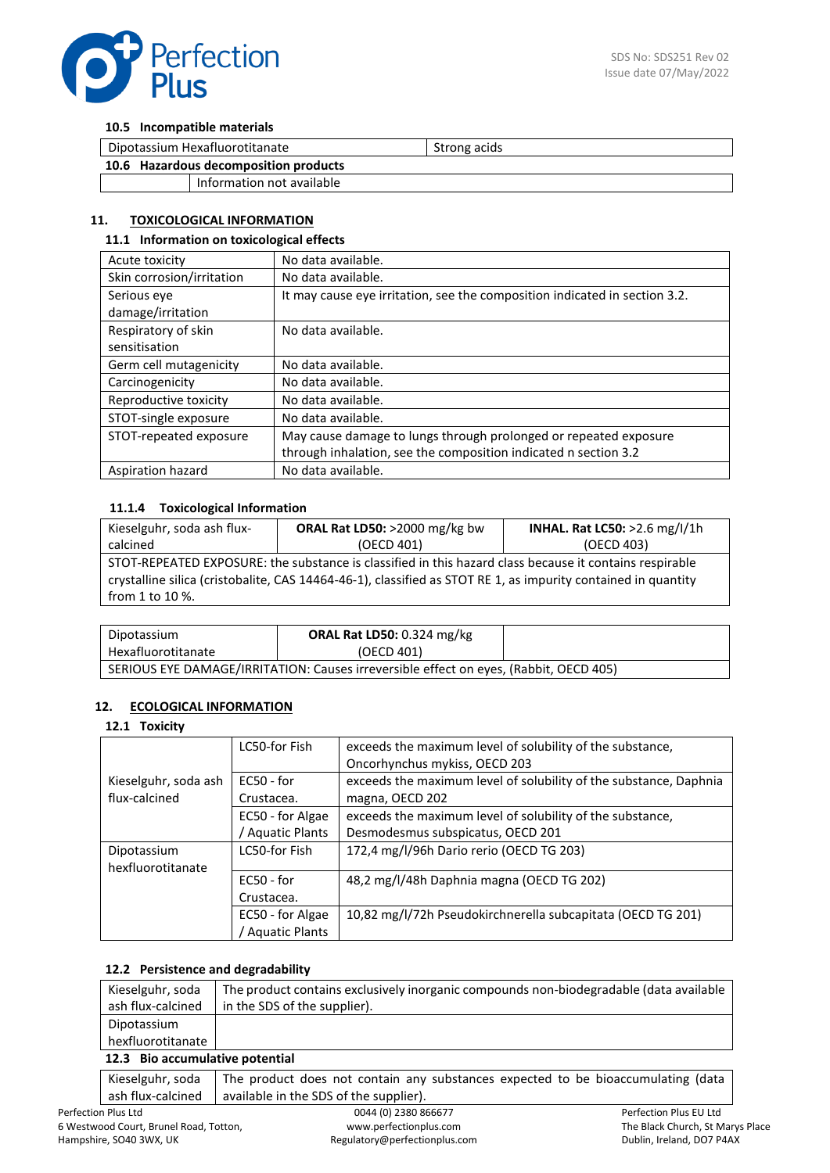

#### **10.5 Incompatible materials**

| Dipotassium Hexafluorotitanate        |                           | Strong acids |
|---------------------------------------|---------------------------|--------------|
| 10.6 Hazardous decomposition products |                           |              |
|                                       | Information not available |              |

# **11. TOXICOLOGICAL INFORMATION**

#### **11.1 Information on toxicological effects**

| Acute toxicity            | No data available.                                                         |
|---------------------------|----------------------------------------------------------------------------|
| Skin corrosion/irritation | No data available.                                                         |
| Serious eye               | It may cause eye irritation, see the composition indicated in section 3.2. |
| damage/irritation         |                                                                            |
| Respiratory of skin       | No data available.                                                         |
| sensitisation             |                                                                            |
| Germ cell mutagenicity    | No data available.                                                         |
| Carcinogenicity           | No data available.                                                         |
| Reproductive toxicity     | No data available.                                                         |
| STOT-single exposure      | No data available.                                                         |
| STOT-repeated exposure    | May cause damage to lungs through prolonged or repeated exposure           |
|                           | through inhalation, see the composition indicated n section 3.2            |
| Aspiration hazard         | No data available.                                                         |

# **11.1.4 Toxicological Information**

| Kieselguhr, soda ash flux-                                                                                    | ORAL Rat LD50: >2000 mg/kg bw | INHAL. Rat LC50: >2.6 mg/l/1h |  |  |
|---------------------------------------------------------------------------------------------------------------|-------------------------------|-------------------------------|--|--|
| calcined                                                                                                      | (OECD 401)                    | (OECD 403)                    |  |  |
| STOT-REPEATED EXPOSURE: the substance is classified in this hazard class because it contains respirable       |                               |                               |  |  |
| crystalline silica (cristobalite, CAS 14464-46-1), classified as STOT RE 1, as impurity contained in quantity |                               |                               |  |  |
| from 1 to 10 $\%$ .                                                                                           |                               |                               |  |  |

| Dipotassium                                                                           | <b>ORAL Rat LD50: 0.324 mg/kg</b> |  |  |
|---------------------------------------------------------------------------------------|-----------------------------------|--|--|
| Hexafluorotitanate                                                                    | (OECD 401)                        |  |  |
| SERIOUS EYE DAMAGE/IRRITATION: Causes irreversible effect on eyes, (Rabbit, OECD 405) |                                   |  |  |

# **12. ECOLOGICAL INFORMATION**

#### **12.1 Toxicity**

|                      | LC50-for Fish         | exceeds the maximum level of solubility of the substance,         |
|----------------------|-----------------------|-------------------------------------------------------------------|
|                      |                       | Oncorhynchus mykiss, OECD 203                                     |
| Kieselguhr, soda ash | $EC50 - for$          | exceeds the maximum level of solubility of the substance, Daphnia |
| flux-calcined        | Crustacea.            | magna, OECD 202                                                   |
|                      | EC50 - for Algae      | exceeds the maximum level of solubility of the substance,         |
|                      | <b>Aquatic Plants</b> | Desmodesmus subspicatus, OECD 201                                 |
| Dipotassium          | LC50-for Fish         | 172,4 mg/l/96h Dario rerio (OECD TG 203)                          |
| hexfluorotitanate    |                       |                                                                   |
|                      | $EC50 - for$          | 48,2 mg/l/48h Daphnia magna (OECD TG 202)                         |
|                      | Crustacea.            |                                                                   |
|                      | EC50 - for Algae      | 10,82 mg/l/72h Pseudokirchnerella subcapitata (OECD TG 201)       |
|                      | Aquatic Plants        |                                                                   |

#### **12.2 Persistence and degradability**

| Kieselguhr, soda                | The product contains exclusively inorganic compounds non-biodegradable (data available |  |
|---------------------------------|----------------------------------------------------------------------------------------|--|
| ash flux-calcined               | in the SDS of the supplier).                                                           |  |
| Dipotassium                     |                                                                                        |  |
| hexfluorotitanate               |                                                                                        |  |
| 12.3 Bio accumulative potential |                                                                                        |  |

## **12.3 Bio accumulative potential**

| Kieselguhr, soda   The product does not contain any substances expected to be bioaccumulating (data |
|-----------------------------------------------------------------------------------------------------|
| ash flux-calcined   available in the SDS of the supplier).                                          |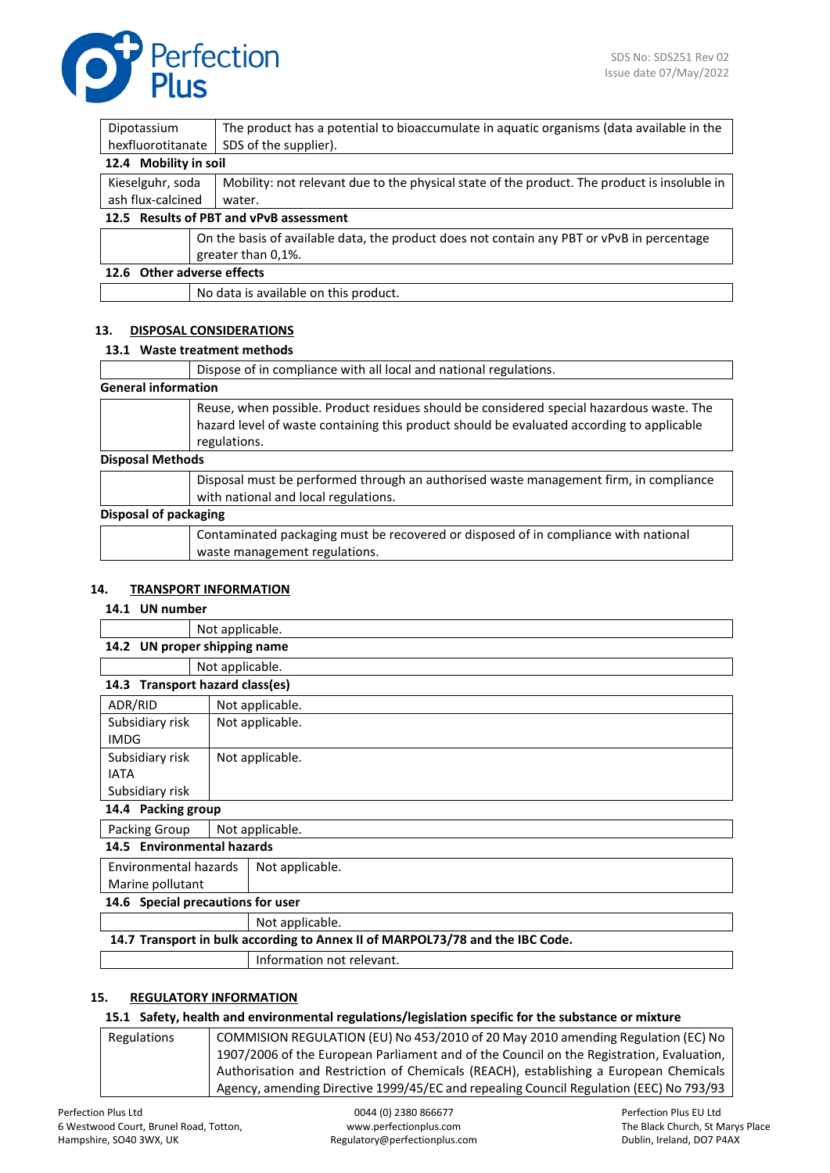

| Dipotassium                                | The product has a potential to bioaccumulate in aquatic organisms (data available in the     |  |  |  |
|--------------------------------------------|----------------------------------------------------------------------------------------------|--|--|--|
| hexfluorotitanate<br>SDS of the supplier). |                                                                                              |  |  |  |
| 12.4 Mobility in soil                      |                                                                                              |  |  |  |
| Kieselguhr, soda                           | Mobility: not relevant due to the physical state of the product. The product is insoluble in |  |  |  |
| ash flux-calcined<br>water.                |                                                                                              |  |  |  |
| 12.5 Results of PBT and vPvB assessment    |                                                                                              |  |  |  |
|                                            | On the basis of available data, the product does not contain any PBT or vPvB in percentage   |  |  |  |
|                                            | greater than 0,1%.                                                                           |  |  |  |
| 12.6 Other adverse effects                 |                                                                                              |  |  |  |
|                                            | No data is available on this product.                                                        |  |  |  |

# **13. DISPOSAL CONSIDERATIONS**

## **13.1 Waste treatment methods**

|                            | Dispose of in compliance with all local and national regulations.                                                                                                                                     |  |  |  |
|----------------------------|-------------------------------------------------------------------------------------------------------------------------------------------------------------------------------------------------------|--|--|--|
|                            |                                                                                                                                                                                                       |  |  |  |
| <b>General information</b> |                                                                                                                                                                                                       |  |  |  |
|                            | Reuse, when possible. Product residues should be considered special hazardous waste. The<br>hazard level of waste containing this product should be evaluated according to applicable<br>regulations. |  |  |  |
| <b>Disposal Methods</b>    |                                                                                                                                                                                                       |  |  |  |
|                            | Disposal must be performed through an authorised waste management firm, in compliance<br>with national and local regulations.                                                                         |  |  |  |
| Disposal of packaging      |                                                                                                                                                                                                       |  |  |  |
|                            | Contaminated packaging must be recovered or disposed of in compliance with national<br>waste management regulations.                                                                                  |  |  |  |

# **14. TRANSPORT INFORMATION**

#### **14.1 UN number**

|                                                                               | Not applicable. |                 |  |  |
|-------------------------------------------------------------------------------|-----------------|-----------------|--|--|
| UN proper shipping name<br>14.2                                               |                 |                 |  |  |
|                                                                               |                 | Not applicable. |  |  |
| 14.3 Transport hazard class(es)                                               |                 |                 |  |  |
| ADR/RID                                                                       |                 | Not applicable. |  |  |
| Subsidiary risk                                                               |                 | Not applicable. |  |  |
| <b>IMDG</b>                                                                   |                 |                 |  |  |
| Subsidiary risk                                                               |                 | Not applicable. |  |  |
| <b>IATA</b>                                                                   |                 |                 |  |  |
| Subsidiary risk                                                               |                 |                 |  |  |
| 14.4 Packing group                                                            |                 |                 |  |  |
| Packing Group                                                                 | Not applicable. |                 |  |  |
| 14.5 Environmental hazards                                                    |                 |                 |  |  |
| Environmental hazards                                                         |                 | Not applicable. |  |  |
| Marine pollutant                                                              |                 |                 |  |  |
| 14.6 Special precautions for user                                             |                 |                 |  |  |
|                                                                               |                 | Not applicable. |  |  |
| 14.7 Transport in bulk according to Annex II of MARPOL73/78 and the IBC Code. |                 |                 |  |  |

Information not relevant.

# **15. REGULATORY INFORMATION**

## **15.1 Safety, health and environmental regulations/legislation specific for the substance or mixture**

| <b>Regulations</b> | COMMISION REGULATION (EU) No 453/2010 of 20 May 2010 amending Regulation (EC) No         |
|--------------------|------------------------------------------------------------------------------------------|
|                    | 1907/2006 of the European Parliament and of the Council on the Registration, Evaluation, |
|                    | Authorisation and Restriction of Chemicals (REACH), establishing a European Chemicals    |
|                    | Agency, amending Directive 1999/45/EC and repealing Council Regulation (EEC) No 793/93   |